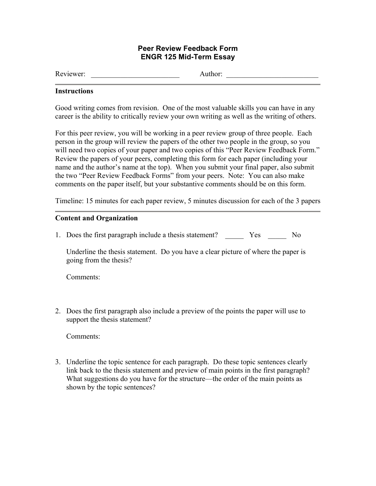## **Peer Review Feedback Form ENGR 125 Mid-Term Essay**

Reviewer: \_\_\_\_\_\_\_\_\_\_\_\_\_\_\_\_\_\_\_\_\_\_\_\_ Author: \_\_\_\_\_\_\_\_\_\_\_\_\_\_\_\_\_\_\_\_\_\_\_\_\_

### **Instructions**

Good writing comes from revision. One of the most valuable skills you can have in any career is the ability to critically review your own writing as well as the writing of others.

For this peer review, you will be working in a peer review group of three people. Each person in the group will review the papers of the other two people in the group, so you will need two copies of your paper and two copies of this "Peer Review Feedback Form." Review the papers of your peers, completing this form for each paper (including your name and the author's name at the top). When you submit your final paper, also submit the two "Peer Review Feedback Forms" from your peers. Note: You can also make comments on the paper itself, but your substantive comments should be on this form.

Timeline: 15 minutes for each paper review, 5 minutes discussion for each of the 3 papers

# **Content and Organization**

1. Does the first paragraph include a thesis statement? Yes No

Underline the thesis statement. Do you have a clear picture of where the paper is going from the thesis?

Comments:

2. Does the first paragraph also include a preview of the points the paper will use to support the thesis statement?

Comments:

3. Underline the topic sentence for each paragraph. Do these topic sentences clearly link back to the thesis statement and preview of main points in the first paragraph? What suggestions do you have for the structure—the order of the main points as shown by the topic sentences?